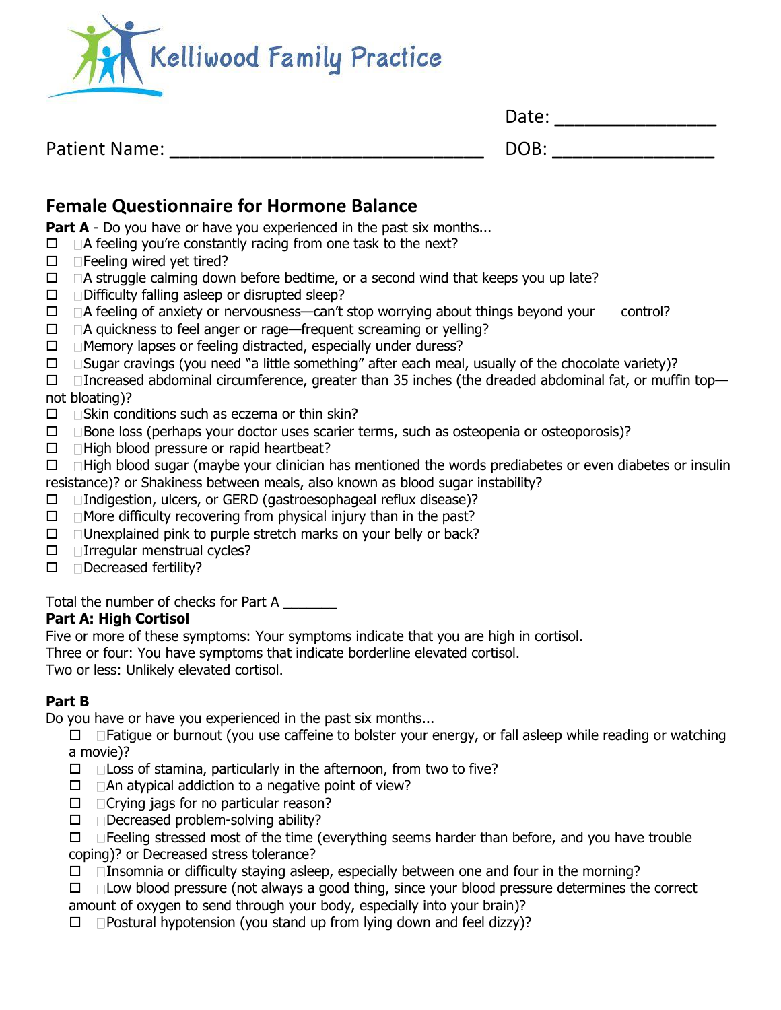

| Date: |  |  |  |  |  |
|-------|--|--|--|--|--|
| DOB:  |  |  |  |  |  |

# Patient Name:

# **Female Questionnaire for Hormone Balance**

**Part A** - Do you have or have you experienced in the past six months...

- $\Box$   $\Box$  A feeling you're constantly racing from one task to the next?
- $\Box$  Feeling wired yet tired?
- $\Box$   $\Box$  A struggle calming down before bedtime, or a second wind that keeps you up late?
- $\square$   $\square$  Difficulty falling asleep or disrupted sleep?
- $\Box$   $\Box$  A feeling of anxiety or nervousness—can't stop worrying about things beyond your control?
- $\Box$   $\Box$  A quickness to feel anger or rage—frequent screaming or yelling?
- $\Box$  Memory lapses or feeling distracted, especially under duress?
- $\Box$   $\Box$  Sugar cravings (you need "a little something" after each meal, usually of the chocolate variety)?

 $\Box$  Increased abdominal circumference, greater than 35 inches (the dreaded abdominal fat, or muffin topnot bloating)?

- $\square$  Skin conditions such as eczema or thin skin?
- $\Box$   $\Box$  Bone loss (perhaps your doctor uses scarier terms, such as osteopenia or osteoporosis)?
- $\Box$  High blood pressure or rapid heartbeat?
- $\Box$   $\Box$  High blood sugar (maybe your clinician has mentioned the words prediabetes or even diabetes or insulin resistance)? or Shakiness between meals, also known as blood sugar instability?
- Indigestion, ulcers, or GERD (gastroesophageal reflux disease)?
- $\Box$  More difficulty recovering from physical injury than in the past?
- $\Box$   $\Box$  Unexplained pink to purple stretch marks on your belly or back?
- $\Box$  Irregular menstrual cycles?
- D Decreased fertility?

Total the number of checks for Part A

## **Part A: High Cortisol**

Five or more of these symptoms: Your symptoms indicate that you are high in cortisol.

Three or four: You have symptoms that indicate borderline elevated cortisol.

Two or less: Unlikely elevated cortisol.

## **Part B**

Do you have or have you experienced in the past six months...

 $\Box$   $\Box$  Fatigue or burnout (you use caffeine to bolster your energy, or fall asleep while reading or watching a movie)?

- $\Box$   $\Box$  Loss of stamina, particularly in the afternoon, from two to five?
- $\Box$   $\Box$  An atypical addiction to a negative point of view?
- $\Box$   $\Box$  Crying jags for no particular reason?
- $\Box$   $\Box$  Decreased problem-solving ability?

 $\Box$   $\Box$  Feeling stressed most of the time (everything seems harder than before, and you have trouble coping)? or Decreased stress tolerance?

- $\Box$  Insomnia or difficulty staying asleep, especially between one and four in the morning?
- $\Box$   $\Box$  Low blood pressure (not always a good thing, since your blood pressure determines the correct amount of oxygen to send through your body, especially into your brain)?
- $\Box$  Postural hypotension (you stand up from lying down and feel dizzy)?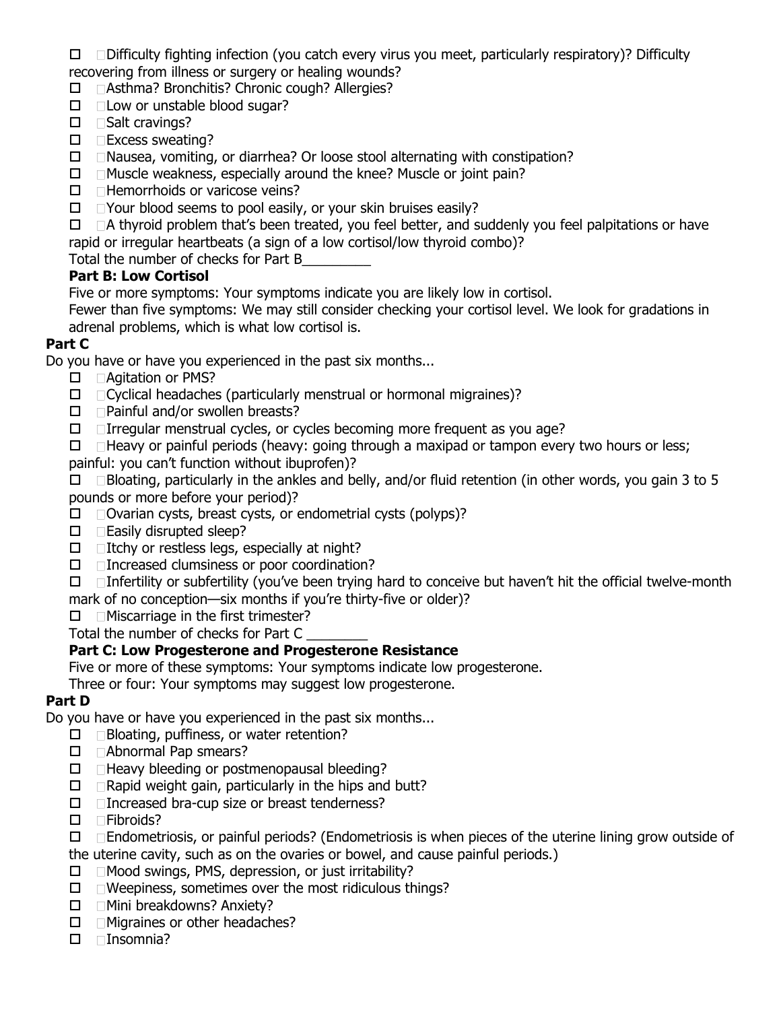$\Box$   $\Box$  Difficulty fighting infection (you catch every virus you meet, particularly respiratory)? Difficulty recovering from illness or surgery or healing wounds?

□ □ Asthma? Bronchitis? Chronic cough? Allergies?

- $\square$   $\square$  Low or unstable blood sugar?
- $\square$   $\square$  Salt cravings?
- $\square$  Excess sweating?
- $\Box$   $\Box$  Nausea, vomiting, or diarrhea? Or loose stool alternating with constipation?
- $\Box$  Muscle weakness, especially around the knee? Muscle or joint pain?
- $\Box$  Hemorrhoids or varicose veins?
- $\Box$   $\Box$  Your blood seems to pool easily, or your skin bruises easily?

 $\Box$   $\Box$  A thyroid problem that's been treated, you feel better, and suddenly you feel palpitations or have rapid or irregular heartbeats (a sign of a low cortisol/low thyroid combo)?

Total the number of checks for Part B\_\_\_\_\_\_\_\_\_

## **Part B: Low Cortisol**

Five or more symptoms: Your symptoms indicate you are likely low in cortisol.

Fewer than five symptoms: We may still consider checking your cortisol level. We look for gradations in adrenal problems, which is what low cortisol is.

#### **Part C**

Do you have or have you experienced in the past six months...

- □ **Agitation or PMS?**
- $\Box$  Cyclical headaches (particularly menstrual or hormonal migraines)?
- $\Box$  Painful and/or swollen breasts?
- $\Box$  Irregular menstrual cycles, or cycles becoming more frequent as you age?
- $\Box$   $\Box$  Heavy or painful periods (heavy: going through a maxipad or tampon every two hours or less;
- painful: you can't function without ibuprofen)?

 $\Box$   $\Box$  Bloating, particularly in the ankles and belly, and/or fluid retention (in other words, you gain 3 to 5 pounds or more before your period)?

- $\Box$   $\Box$  Ovarian cysts, breast cysts, or endometrial cysts (polyps)?
- $\Box$  Easily disrupted sleep?
- $\Box$  Itchy or restless legs, especially at night?
- $\Box$  Increased clumsiness or poor coordination?

 $\Box$   $\Box$  Infertility or subfertility (you've been trying hard to conceive but haven't hit the official twelve-month mark of no conception—six months if you're thirty-five or older)?

 $\Box$  Miscarriage in the first trimester?

Total the number of checks for Part C \_\_\_\_\_\_\_\_

## **Part C: Low Progesterone and Progesterone Resistance**

Five or more of these symptoms: Your symptoms indicate low progesterone.

Three or four: Your symptoms may suggest low progesterone.

## **Part D**

Do you have or have you experienced in the past six months...

- $\Box$  Bloating, puffiness, or water retention?
- □ **△Abnormal Pap smears?**
- $\Box$   $\Box$  Heavy bleeding or postmenopausal bleeding?
- $\Box$  Rapid weight gain, particularly in the hips and butt?
- $\Box$  Increased bra-cup size or breast tenderness?
- $\square$  Fibroids?
- $\Box$   $\Box$  Endometriosis, or painful periods? (Endometriosis is when pieces of the uterine lining grow outside of
- the uterine cavity, such as on the ovaries or bowel, and cause painful periods.)
- $\Box$  Mood swings, PMS, depression, or just irritability?
- $\Box$   $\Box$  Weepiness, sometimes over the most ridiculous things?
- □ Mini breakdowns? Anxiety?
- $\Box$  Migraines or other headaches?
- Insomnia?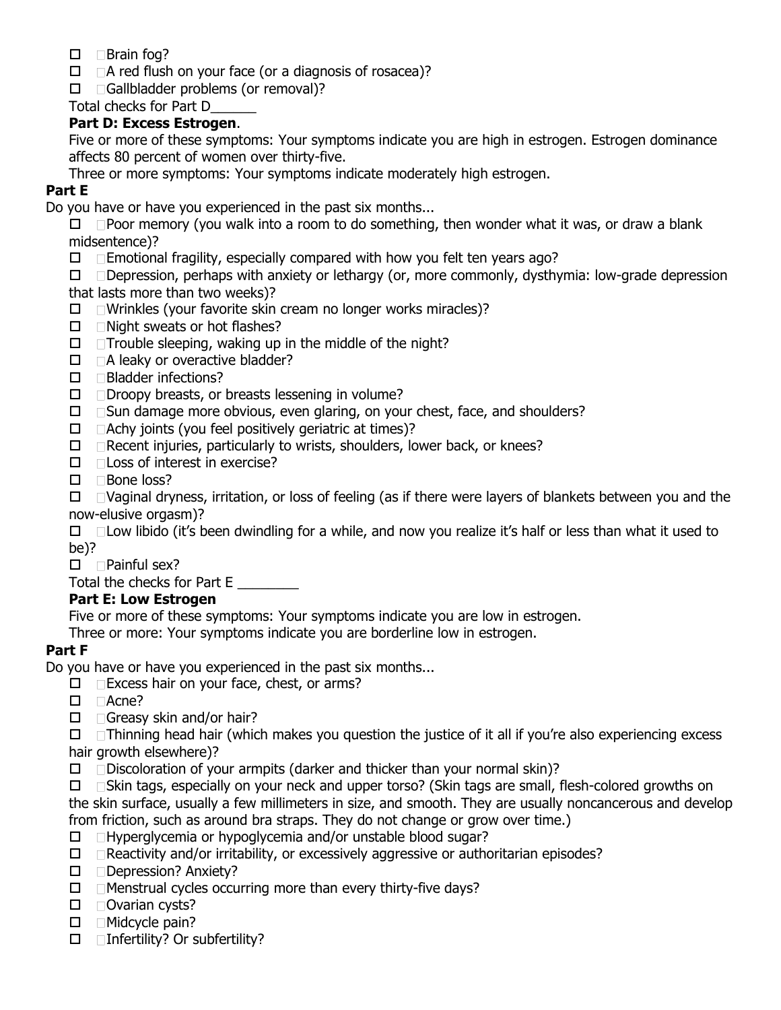- $\square$  Brain fog?
- $\Box$   $\Box$  A red flush on your face (or a diagnosis of rosacea)?
- $\Box$  Gallbladder problems (or removal)?

Total checks for Part D\_\_\_\_\_\_

#### **Part D: Excess Estrogen**.

Five or more of these symptoms: Your symptoms indicate you are high in estrogen. Estrogen dominance affects 80 percent of women over thirty-five.

Three or more symptoms: Your symptoms indicate moderately high estrogen.

#### **Part E**

Do you have or have you experienced in the past six months...

 $\Box$   $\Box$  Poor memory (you walk into a room to do something, then wonder what it was, or draw a blank midsentence)?

 $\Box$   $\Box$  Emotional fragility, especially compared with how you felt ten years ago?

 $\Box$   $\Box$  Depression, perhaps with anxiety or lethargy (or, more commonly, dysthymia: low-grade depression that lasts more than two weeks)?

- $\Box$  Wrinkles (your favorite skin cream no longer works miracles)?
- $\Box$  Night sweats or hot flashes?
- $\Box$   $\Box$  Trouble sleeping, waking up in the middle of the night?
- $\Box$   $\Box$  A leaky or overactive bladder?
- $\Box$   $\Box$  Bladder infections?
- Droopy breasts, or breasts lessening in volume?
- $\Box$   $\Box$  Sun damage more obvious, even glaring, on your chest, face, and shoulders?
- $\Box$   $\Box$  Achy joints (you feel positively geriatric at times)?
- $\Box$  Recent injuries, particularly to wrists, shoulders, lower back, or knees?
- $\square$   $\square$  Loss of interest in exercise?
- $\Box$  Bone loss?

 $\Box$   $\Box$  Vaginal dryness, irritation, or loss of feeling (as if there were layers of blankets between you and the now-elusive orgasm)?

 $\Box$   $\Box$  Low libido (it's been dwindling for a while, and now you realize it's half or less than what it used to be)?

 $\square$   $\square$  Painful sex?

Total the checks for Part E

#### **Part E: Low Estrogen**

Five or more of these symptoms: Your symptoms indicate you are low in estrogen.

Three or more: Your symptoms indicate you are borderline low in estrogen.

#### **Part F**

Do you have or have you experienced in the past six months...

- $\Box$  Excess hair on your face, chest, or arms?
- □ **Acne?**
- $\Box$  Greasy skin and/or hair?

 $\Box$   $\Box$  Thinning head hair (which makes you question the justice of it all if you're also experiencing excess hair growth elsewhere)?

 $\Box$   $\Box$  Discoloration of your armpits (darker and thicker than your normal skin)?

 $\Box$   $\Box$  Skin tags, especially on your neck and upper torso? (Skin tags are small, flesh-colored growths on the skin surface, usually a few millimeters in size, and smooth. They are usually noncancerous and develop from friction, such as around bra straps. They do not change or grow over time.)

- $\Box$   $\Box$  Hyperglycemia or hypoglycemia and/or unstable blood sugar?
- $\Box$   $\Box$  Reactivity and/or irritability, or excessively aggressive or authoritarian episodes?
- □ □ Depression? Anxiety?
- $\Box$  Menstrual cycles occurring more than every thirty-five days?
- $\square$  Ovarian cysts?
- $\Box$  Midcycle pain?
- $\Box$  Infertility? Or subfertility?